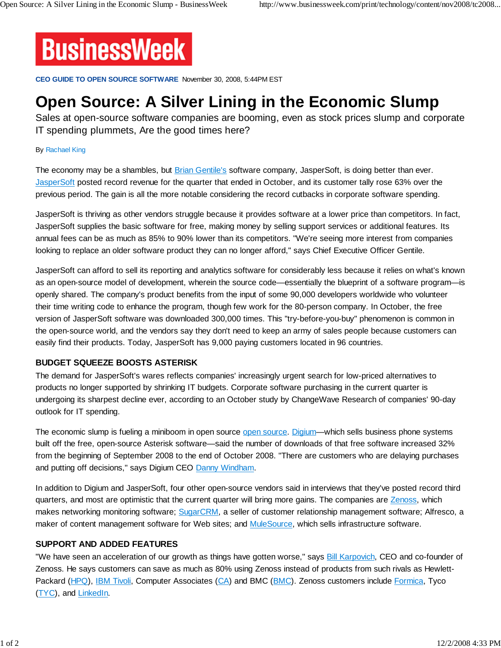

**CEO GUIDE TO OPEN SOURCE SOFTWARE** November 30, 2008, 5:44PM EST

# **Open Source: A Silver Lining in the Economic Slump**

Sales at open-source software companies are booming, even as stock prices slump and corporate IT spending plummets, Are the good times here?

#### By Rachael King

The economy may be a shambles, but Brian Gentile's software company, JasperSoft, is doing better than ever. JasperSoft posted record revenue for the quarter that ended in October, and its customer tally rose 63% over the previous period. The gain is all the more notable considering the record cutbacks in corporate software spending.

JasperSoft is thriving as other vendors struggle because it provides software at a lower price than competitors. In fact, JasperSoft supplies the basic software for free, making money by selling support services or additional features. Its annual fees can be as much as 85% to 90% lower than its competitors. "We're seeing more interest from companies looking to replace an older software product they can no longer afford," says Chief Executive Officer Gentile.

JasperSoft can afford to sell its reporting and analytics software for considerably less because it relies on what's known as an open-source model of development, wherein the source code—essentially the blueprint of a software program—is openly shared. The company's product benefits from the input of some 90,000 developers worldwide who volunteer their time writing code to enhance the program, though few work for the 80-person company. In October, the free version of JasperSoft software was downloaded 300,000 times. This "try-before-you-buy" phenomenon is common in the open-source world, and the vendors say they don't need to keep an army of sales people because customers can easily find their products. Today, JasperSoft has 9,000 paying customers located in 96 countries.

### **BUDGET SQUEEZE BOOSTS ASTERISK**

The demand for JasperSoft's wares reflects companies' increasingly urgent search for low-priced alternatives to products no longer supported by shrinking IT budgets. Corporate software purchasing in the current quarter is undergoing its sharpest decline ever, according to an October study by ChangeWave Research of companies' 90-day outlook for IT spending.

The economic slump is fueling a miniboom in open source open source. Digium—which sells business phone systems built off the free, open-source Asterisk software—said the number of downloads of that free software increased 32% from the beginning of September 2008 to the end of October 2008. "There are customers who are delaying purchases and putting off decisions," says Digium CEO Danny Windham.

In addition to Digium and JasperSoft, four other open-source vendors said in interviews that they've posted record third quarters, and most are optimistic that the current quarter will bring more gains. The companies are Zenoss, which makes networking monitoring software; SugarCRM, a seller of customer relationship management software; Alfresco, a maker of content management software for Web sites; and MuleSource, which sells infrastructure software.

### **SUPPORT AND ADDED FEATURES**

"We have seen an acceleration of our growth as things have gotten worse," says **Bill Karpovich**, CEO and co-founder of Zenoss. He says customers can save as much as 80% using Zenoss instead of products from such rivals as Hewlett-Packard (HPQ), IBM Tivoli, Computer Associates (CA) and BMC (BMC). Zenoss customers include Formica, Tyco (TYC), and LinkedIn.